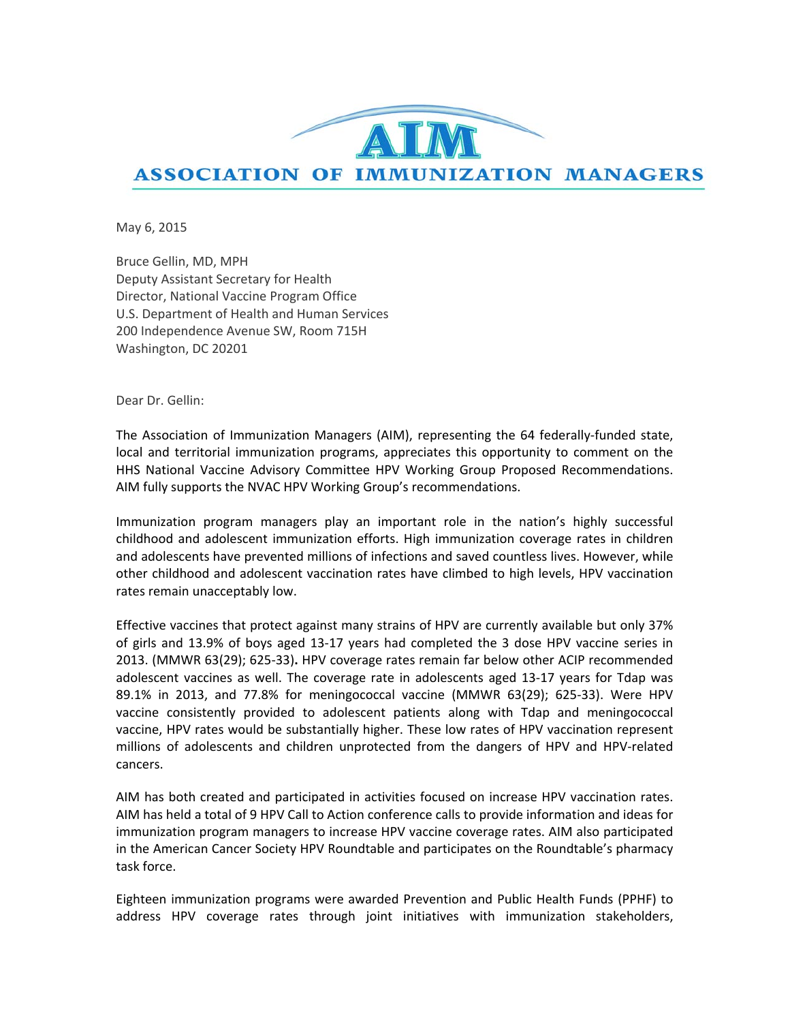

May 6, 2015

Bruce Gellin, MD, MPH Deputy Assistant Secretary for Health Director, National Vaccine Program Office U.S. Department of Health and Human Services 200 Independence Avenue SW, Room 715H Washington, DC 20201

Dear Dr. Gellin:

The Association of Immunization Managers (AIM), representing the 64 federally‐funded state, local and territorial immunization programs, appreciates this opportunity to comment on the HHS National Vaccine Advisory Committee HPV Working Group Proposed Recommendations. AIM fully supports the NVAC HPV Working Group's recommendations.

Immunization program managers play an important role in the nation's highly successful childhood and adolescent immunization efforts. High immunization coverage rates in children and adolescents have prevented millions of infections and saved countless lives. However, while other childhood and adolescent vaccination rates have climbed to high levels, HPV vaccination rates remain unacceptably low.

Effective vaccines that protect against many strains of HPV are currently available but only 37% of girls and 13.9% of boys aged 13‐17 years had completed the 3 dose HPV vaccine series in 2013. (MMWR 63(29); 625‐33)**.** HPV coverage rates remain far below other ACIP recommended adolescent vaccines as well. The coverage rate in adolescents aged 13‐17 years for Tdap was 89.1% in 2013, and 77.8% for meningococcal vaccine (MMWR 63(29); 625‐33). Were HPV vaccine consistently provided to adolescent patients along with Tdap and meningococcal vaccine, HPV rates would be substantially higher. These low rates of HPV vaccination represent millions of adolescents and children unprotected from the dangers of HPV and HPV‐related cancers.

AIM has both created and participated in activities focused on increase HPV vaccination rates. AIM has held a total of 9 HPV Call to Action conference calls to provide information and ideas for immunization program managers to increase HPV vaccine coverage rates. AIM also participated in the American Cancer Society HPV Roundtable and participates on the Roundtable's pharmacy task force.

Eighteen immunization programs were awarded Prevention and Public Health Funds (PPHF) to address HPV coverage rates through joint initiatives with immunization stakeholders,